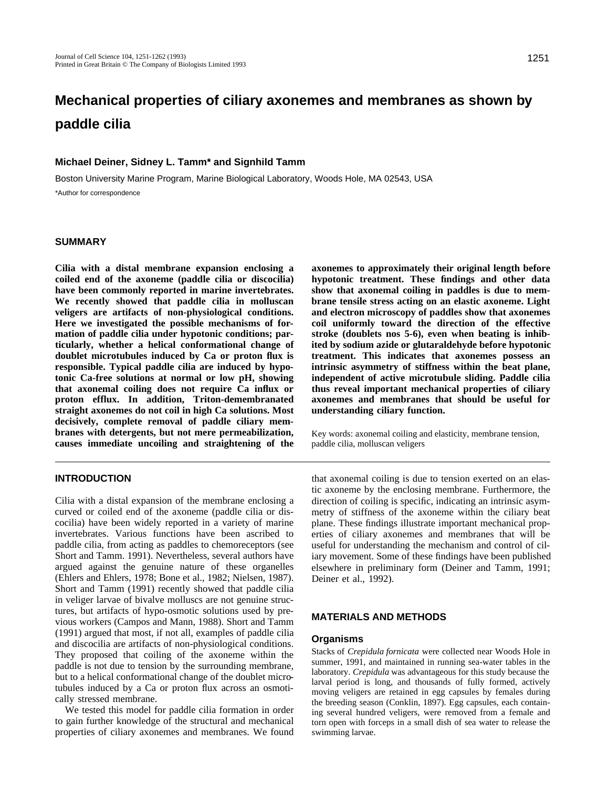# **Mechanical properties of ciliary axonemes and membranes as shown by paddle cilia**

## **Michael Deiner, Sidney L. Tamm\* and Signhild Tamm**

Boston University Marine Program, Marine Biological Laboratory, Woods Hole, MA 02543, USA \*Author for correspondence

#### **SUMMARY**

**Cilia with a distal membrane expansion enclosing a coiled end of the axoneme (paddle cilia or discocilia) have been commonly reported in marine invertebrates. We recently showed that paddle cilia in molluscan veligers are artifacts of non-physiological conditions. Here we investigated the possible mechanisms of formation of paddle cilia under hypotonic conditions; particularly, whether a helical conformational change of doublet microtubules induced by Ca or proton flux is responsible. Typical paddle cilia are induced by hypotonic Ca-free solutions at normal or low pH, showing that axonemal coiling does not require Ca influx or proton efflux. In addition, Triton-demembranated straight axonemes do not coil in high Ca solutions. Most decisively, complete removal of paddle ciliary membranes with detergents, but not mere permeabilization, causes immediate uncoiling and straightening of the**

**axonemes to approximately their original length before hypotonic treatment. These findings and other data show that axonemal coiling in paddles is due to membrane tensile stress acting on an elastic axoneme. Light and electron microscopy of paddles show that axonemes coil uniformly toward the direction of the effective stroke (doublets nos 5-6), even when beating is inhibited by sodium azide or glutaraldehyde before hypotonic treatment. This indicates that axonemes possess an intrinsic asymmetry of stiffness within the beat plane, independent of active microtubule sliding. Paddle cilia thus reveal important mechanical properties of ciliary axonemes and membranes that should be useful for understanding ciliary function.**

Key words: axonemal coiling and elasticity, membrane tension, paddle cilia, molluscan veligers

## **INTRODUCTION**

Cilia with a distal expansion of the membrane enclosing a curved or coiled end of the axoneme (paddle cilia or discocilia) have been widely reported in a variety of marine invertebrates. Various functions have been ascribed to paddle cilia, from acting as paddles to chemoreceptors (see Short and Tamm. 1991). Nevertheless, several authors have argued against the genuine nature of these organelles (Ehlers and Ehlers, 1978; Bone et al., 1982; Nielsen, 1987). Short and Tamm (1991) recently showed that paddle cilia in veliger larvae of bivalve molluscs are not genuine structures, but artifacts of hypo-osmotic solutions used by previous workers (Campos and Mann, 1988). Short and Tamm (1991) argued that most, if not all, examples of paddle cilia and discocilia are artifacts of non-physiological conditions. They proposed that coiling of the axoneme within the paddle is not due to tension by the surrounding membrane, but to a helical conformational change of the doublet microtubules induced by a Ca or proton flux across an osmotically stressed membrane.

We tested this model for paddle cilia formation in order to gain further knowledge of the structural and mechanical properties of ciliary axonemes and membranes. We found

that axonemal coiling is due to tension exerted on an elastic axoneme by the enclosing membrane. Furthermore, the direction of coiling is specific, indicating an intrinsic asymmetry of stiffness of the axoneme within the ciliary beat plane. These findings illustrate important mechanical properties of ciliary axonemes and membranes that will be useful for understanding the mechanism and control of ciliary movement. Some of these findings have been published elsewhere in preliminary form (Deiner and Tamm, 1991; Deiner et al., 1992).

## **MATERIALS AND METHODS**

#### **Organisms**

Stacks of *Crepidula fornicata* were collected near Woods Hole in summer, 1991, and maintained in running sea-water tables in the laboratory. *Crepidula* was advantageous for this study because the larval period is long, and thousands of fully formed, actively moving veligers are retained in egg capsules by females during the breeding season (Conklin, 1897). Egg capsules, each containing several hundred veligers, were removed from a female and torn open with forceps in a small dish of sea water to release the swimming larvae.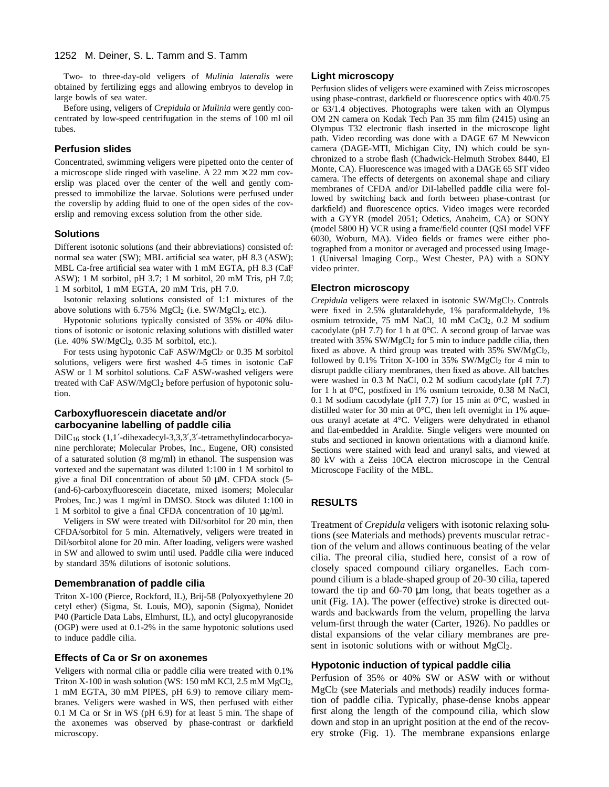Two- to three-day-old veligers of *Mulinia lateralis* were obtained by fertilizing eggs and allowing embryos to develop in large bowls of sea water.

Before using, veligers of *Crepidula* or *Mulinia* were gently concentrated by low-speed centrifugation in the stems of 100 ml oil tubes.

#### **Perfusion slides**

Concentrated, swimming veligers were pipetted onto the center of a microscope slide ringed with vaseline. A 22 mm  $\times$  22 mm coverslip was placed over the center of the well and gently compressed to immobilize the larvae. Solutions were perfused under the coverslip by adding fluid to one of the open sides of the coverslip and removing excess solution from the other side.

## **Solutions**

Different isotonic solutions (and their abbreviations) consisted of: normal sea water (SW); MBL artificial sea water, pH 8.3 (ASW); MBL Ca-free artificial sea water with 1 mM EGTA, pH 8.3 (CaF ASW); 1 M sorbitol, pH 3.7; 1 M sorbitol, 20 mM Tris, pH 7.0; 1 M sorbitol, 1 mM EGTA, 20 mM Tris, pH 7.0.

Isotonic relaxing solutions consisted of 1:1 mixtures of the above solutions with  $6.75\%$  MgCl<sub>2</sub> (i.e. SW/MgCl<sub>2</sub>, etc.).

Hypotonic solutions typically consisted of 35% or 40% dilutions of isotonic or isotonic relaxing solutions with distilled water  $(i.e. 40\%$  SW/MgCl<sub>2</sub>, 0.35 M sorbitol, etc.).

For tests using hypotonic CaF ASW/MgCl<sub>2</sub> or 0.35 M sorbitol solutions, veligers were first washed 4-5 times in isotonic CaF ASW or 1 M sorbitol solutions. CaF ASW-washed veligers were treated with CaF ASW/MgCl<sub>2</sub> before perfusion of hypotonic solution.

#### **Carboxyfluorescein diacetate and/or carbocyanine labelling of paddle cilia**

DiIC16 stock (1,1 -dihexadecyl-3,3,3 ,3 -tetramethylindocarbocyanine perchlorate; Molecular Probes, Inc., Eugene, OR) consisted of a saturated solution (8 mg/ml) in ethanol. The suspension was vortexed and the supernatant was diluted 1:100 in 1 M sorbitol to give a final DiI concentration of about 50 μM. CFDA stock (5- (and-6)-carboxyfluorescein diacetate, mixed isomers; Molecular Probes, Inc.) was 1 mg/ml in DMSO. Stock was diluted 1:100 in 1 M sorbitol to give a final CFDA concentration of 10 μg/ml.

Veligers in SW were treated with DiI/sorbitol for 20 min, then CFDA/sorbitol for 5 min. Alternatively, veligers were treated in DiI/sorbitol alone for 20 min. After loading, veligers were washed in SW and allowed to swim until used. Paddle cilia were induced by standard 35% dilutions of isotonic solutions.

#### **Demembranation of paddle cilia**

Triton X-100 (Pierce, Rockford, IL), Brij-58 (Polyoxyethylene 20 cetyl ether) (Sigma, St. Louis, MO), saponin (Sigma), Nonidet P40 (Particle Data Labs, Elmhurst, IL), and octyl glucopyranoside (OGP) were used at 0.1-2% in the same hypotonic solutions used to induce paddle cilia.

#### **Effects of Ca or Sr on axonemes**

Veligers with normal cilia or paddle cilia were treated with 0.1% Triton X-100 in wash solution (WS: 150 mM KCl, 2.5 mM MgCl2, 1 mM EGTA, 30 mM PIPES, pH 6.9) to remove ciliary membranes. Veligers were washed in WS, then perfused with either 0.1 M Ca or Sr in WS (pH 6.9) for at least 5 min. The shape of the axonemes was observed by phase-contrast or darkfield microscopy.

## **Light microscopy**

Perfusion slides of veligers were examined with Zeiss microscopes using phase-contrast, darkfield or fluorescence optics with 40/0.75 or 63/1.4 objectives. Photographs were taken with an Olympus OM 2N camera on Kodak Tech Pan 35 mm film (2415) using an Olympus T32 electronic flash inserted in the microscope light path. Video recording was done with a DAGE 67 M Newvicon camera (DAGE-MTI, Michigan City, IN) which could be synchronized to a strobe flash (Chadwick-Helmuth Strobex 8440, El Monte, CA). Fluorescence was imaged with a DAGE 65 SIT video camera. The effects of detergents on axonemal shape and ciliary membranes of CFDA and/or DiI-labelled paddle cilia were followed by switching back and forth between phase-contrast (or darkfield) and fluorescence optics. Video images were recorded with a GYYR (model 2051; Odetics, Anaheim, CA) or SONY (model 5800 H) VCR using a frame/field counter (QSI model VFF 6030, Woburn, MA). Video fields or frames were either photographed from a monitor or averaged and processed using Image-1 (Universal Imaging Corp., West Chester, PA) with a SONY video printer.

#### **Electron microscopy**

*Crepidula* veligers were relaxed in isotonic SW/MgCl<sub>2</sub>. Controls were fixed in 2.5% glutaraldehyde, 1% paraformaldehyde, 1% osmium tetroxide, 75 mM NaCl, 10 mM CaCl<sub>2</sub>, 0.2 M sodium cacodylate (pH 7.7) for 1 h at  $0^{\circ}$ C. A second group of larvae was treated with 35% SW/MgCl2 for 5 min to induce paddle cilia, then fixed as above. A third group was treated with  $35\%$  SW/MgCl<sub>2</sub>, followed by 0.1% Triton X-100 in 35% SW/MgCl2 for 4 min to disrupt paddle ciliary membranes, then fixed as above. All batches were washed in 0.3 M NaCl, 0.2 M sodium cacodylate (pH 7.7) for 1 h at 0°C, postfixed in 1% osmium tetroxide, 0.38 M NaCl, 0.1 M sodium cacodylate (pH 7.7) for 15 min at 0°C, washed in distilled water for 30 min at 0°C, then left overnight in 1% aqueous uranyl acetate at 4°C. Veligers were dehydrated in ethanol and flat-embedded in Araldite. Single veligers were mounted on stubs and sectioned in known orientations with a diamond knife. Sections were stained with lead and uranyl salts, and viewed at 80 kV with a Zeiss 10CA electron microscope in the Central Microscope Facility of the MBL.

## **RESULTS**

Treatment of *Crepidula* veligers with isotonic relaxing solutions (see Materials and methods) prevents muscular retraction of the velum and allows continuous beating of the velar cilia. The preoral cilia, studied here, consist of a row of closely spaced compound ciliary organelles. Each compound cilium is a blade-shaped group of 20-30 cilia, tapered toward the tip and 60-70 μm long, that beats together as a unit (Fig. 1A). The power (effective) stroke is directed outwards and backwards from the velum, propelling the larva velum-first through the water (Carter, 1926). No paddles or distal expansions of the velar ciliary membranes are present in isotonic solutions with or without MgCl2.

## **Hypotonic induction of typical paddle cilia**

Perfusion of 35% or 40% SW or ASW with or without MgCl2 (see Materials and methods) readily induces formation of paddle cilia. Typically, phase-dense knobs appear first along the length of the compound cilia, which slow down and stop in an upright position at the end of the recovery stroke (Fig. 1). The membrane expansions enlarge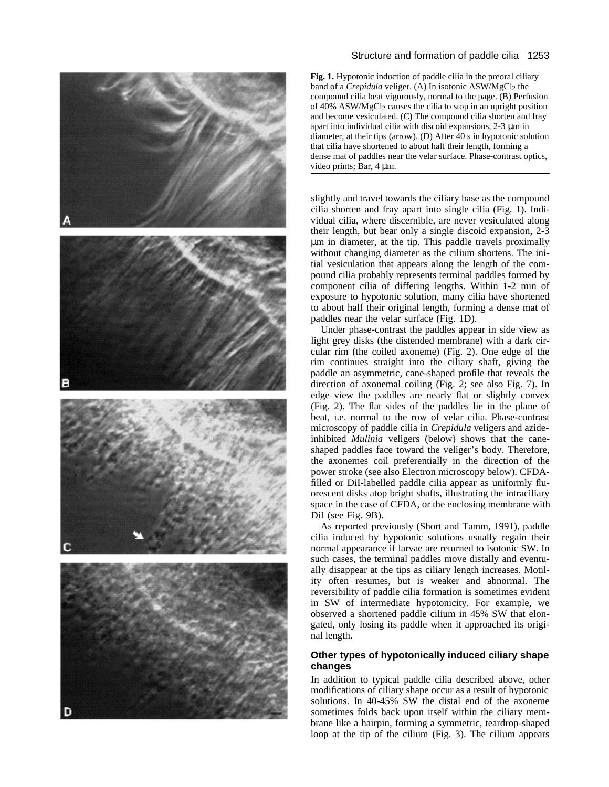

## Structure and formation of paddle cilia 1253

**Fig. 1.** Hypotonic induction of paddle cilia in the preoral ciliary band of a *Crepidula* veliger. (A) In isotonic ASW/MgCl<sub>2</sub> the compound cilia beat vigorously, normal to the page. (B) Perfusion of 40%  $ASW/MgCl<sub>2</sub>$  causes the cilia to stop in an upright position and become vesiculated. (C) The compound cilia shorten and fray apart into individual cilia with discoid expansions, 2-3 μm in diameter, at their tips (arrow). (D) After 40 s in hypotonic solution that cilia have shortened to about half their length, forming a dense mat of paddles near the velar surface. Phase-contrast optics, video prints; Bar, 4 μm.

slightly and travel towards the ciliary base as the compound cilia shorten and fray apart into single cilia (Fig. 1). Individual cilia, where discernible, are never vesiculated along their length, but bear only a single discoid expansion, 2-3 μm in diameter, at the tip. This paddle travels proximally without changing diameter as the cilium shortens. The initial vesiculation that appears along the length of the compound cilia probably represents terminal paddles formed by component cilia of differing lengths. Within 1-2 min of exposure to hypotonic solution, many cilia have shortened to about half their original length, forming a dense mat of paddles near the velar surface (Fig. 1D).

Under phase-contrast the paddles appear in side view as light grey disks (the distended membrane) with a dark circular rim (the coiled axoneme) (Fig. 2). One edge of the rim continues straight into the ciliary shaft, giving the paddle an asymmetric, cane-shaped profile that reveals the direction of axonemal coiling (Fig. 2; see also Fig. 7). In edge view the paddles are nearly flat or slightly convex (Fig. 2). The flat sides of the paddles lie in the plane of beat, i.e. normal to the row of velar cilia. Phase-contrast microscopy of paddle cilia in *Crepidula* veligers and azideinhibited *Mulinia* veligers (below) shows that the caneshaped paddles face toward the veliger's body. Therefore, the axonemes coil preferentially in the direction of the power stroke (see also Electron microscopy below). CFDAfilled or DiI-labelled paddle cilia appear as uniformly fluorescent disks atop bright shafts, illustrating the intraciliary space in the case of CFDA, or the enclosing membrane with DiI (see Fig. 9B).

As reported previously (Short and Tamm, 1991), paddle cilia induced by hypotonic solutions usually regain their normal appearance if larvae are returned to isotonic SW. In such cases, the terminal paddles move distally and eventually disappear at the tips as ciliary length increases. Motility often resumes, but is weaker and abnormal. The reversibility of paddle cilia formation is sometimes evident in SW of intermediate hypotonicity. For example, we observed a shortened paddle cilium in 45% SW that elongated, only losing its paddle when it approached its original length.

## **Other types of hypotonically induced ciliary shape changes**

In addition to typical paddle cilia described above, other modifications of ciliary shape occur as a result of hypotonic solutions. In 40-45% SW the distal end of the axoneme sometimes folds back upon itself within the ciliary membrane like a hairpin, forming a symmetric, teardrop-shaped loop at the tip of the cilium (Fig. 3). The cilium appears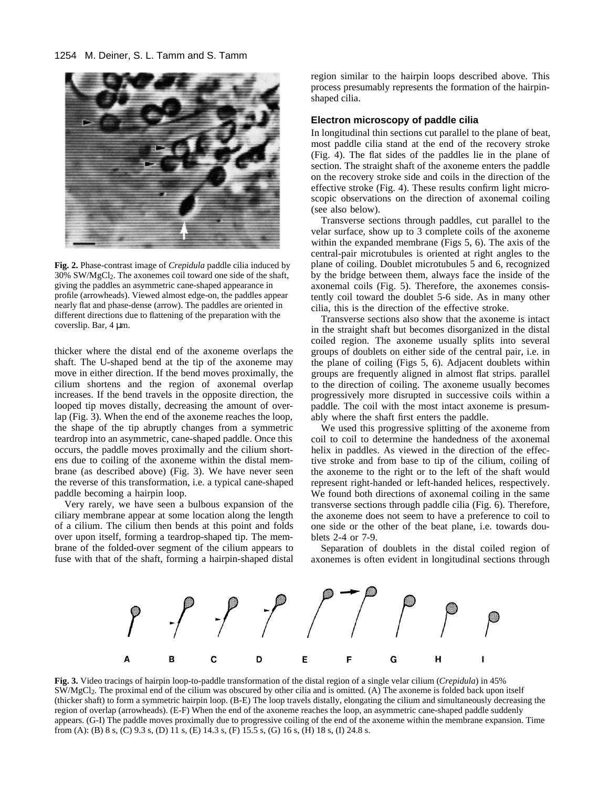

**Fig. 2.** Phase-contrast image of *Crepidula* paddle cilia induced by 30% SW/MgCl2. The axonemes coil toward one side of the shaft, giving the paddles an asymmetric cane-shaped appearance in profile (arrowheads). Viewed almost edge-on, the paddles appear nearly flat and phase-dense (arrow). The paddles are oriented in different directions due to flattening of the preparation with the coverslip. Bar, 4 μm.

thicker where the distal end of the axoneme overlaps the shaft. The U-shaped bend at the tip of the axoneme may move in either direction. If the bend moves proximally, the cilium shortens and the region of axonemal overlap increases. If the bend travels in the opposite direction, the looped tip moves distally, decreasing the amount of overlap (Fig. 3). When the end of the axoneme reaches the loop, the shape of the tip abruptly changes from a symmetric teardrop into an asymmetric, cane-shaped paddle. Once this occurs, the paddle moves proximally and the cilium shortens due to coiling of the axoneme within the distal membrane (as described above) (Fig. 3). We have never seen the reverse of this transformation, i.e. a typical cane-shaped paddle becoming a hairpin loop.

Very rarely, we have seen a bulbous expansion of the ciliary membrane appear at some location along the length of a cilium. The cilium then bends at this point and folds over upon itself, forming a teardrop-shaped tip. The membrane of the folded-over segment of the cilium appears to fuse with that of the shaft, forming a hairpin-shaped distal region similar to the hairpin loops described above. This process presumably represents the formation of the hairpinshaped cilia.

#### **Electron microscopy of paddle cilia**

In longitudinal thin sections cut parallel to the plane of beat, most paddle cilia stand at the end of the recovery stroke (Fig. 4). The flat sides of the paddles lie in the plane of section. The straight shaft of the axoneme enters the paddle on the recovery stroke side and coils in the direction of the effective stroke (Fig. 4). These results confirm light microscopic observations on the direction of axonemal coiling (see also below).

Transverse sections through paddles, cut parallel to the velar surface, show up to 3 complete coils of the axoneme within the expanded membrane (Figs 5, 6). The axis of the central-pair microtubules is oriented at right angles to the plane of coiling. Doublet microtubules 5 and 6, recognized by the bridge between them, always face the inside of the axonemal coils (Fig. 5). Therefore, the axonemes consistently coil toward the doublet 5-6 side. As in many other cilia, this is the direction of the effective stroke.

Transverse sections also show that the axoneme is intact in the straight shaft but becomes disorganized in the distal coiled region. The axoneme usually splits into several groups of doublets on either side of the central pair, i.e. in the plane of coiling (Figs 5, 6). Adjacent doublets within groups are frequently aligned in almost flat strips. parallel to the direction of coiling. The axoneme usually becomes progressively more disrupted in successive coils within a paddle. The coil with the most intact axoneme is presumably where the shaft first enters the paddle.

We used this progressive splitting of the axoneme from coil to coil to determine the handedness of the axonemal helix in paddles. As viewed in the direction of the effective stroke and from base to tip of the cilium, coiling of the axoneme to the right or to the left of the shaft would represent right-handed or left-handed helices, respectively. We found both directions of axonemal coiling in the same transverse sections through paddle cilia (Fig. 6). Therefore, the axoneme does not seem to have a preference to coil to one side or the other of the beat plane, i.e. towards doublets 2-4 or 7-9.

Separation of doublets in the distal coiled region of axonemes is often evident in longitudinal sections through



**Fig. 3.** Video tracings of hairpin loop-to-paddle transformation of the distal region of a single velar cilium (*Crepidula*) in 45% SW/MgCl2. The proximal end of the cilium was obscured by other cilia and is omitted. (A) The axoneme is folded back upon itself (thicker shaft) to form a symmetric hairpin loop. (B-E) The loop travels distally, elongating the cilium and simultaneously decreasing the region of overlap (arrowheads). (E-F) When the end of the axoneme reaches the loop, an asymmetric cane-shaped paddle suddenly appears. (G-I) The paddle moves proximally due to progressive coiling of the end of the axoneme within the membrane expansion. Time from (A): (B) 8 s, (C) 9.3 s, (D) 11 s, (E) 14.3 s, (F) 15.5 s, (G) 16 s, (H) 18 s, (I) 24.8 s.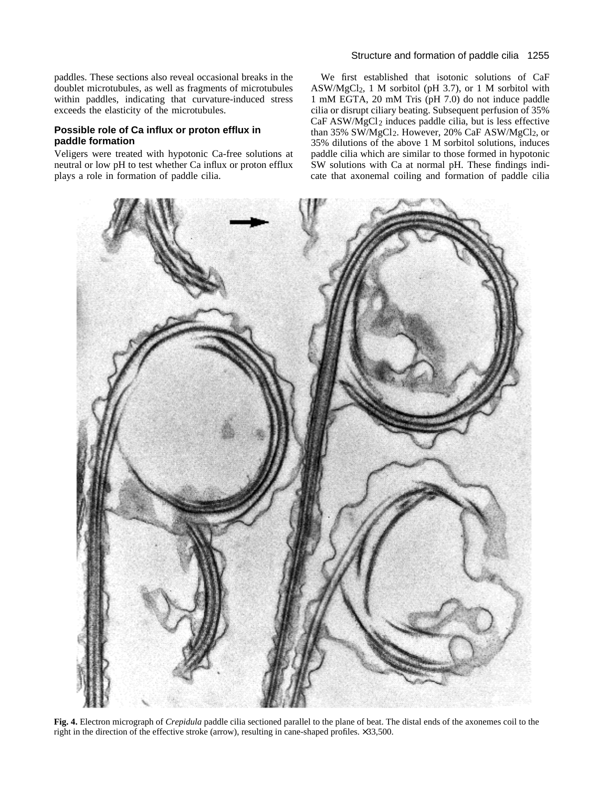paddles. These sections also reveal occasional breaks in the doublet microtubules, as well as fragments of microtubules within paddles, indicating that curvature-induced stress exceeds the elasticity of the microtubules.

## **Possible role of Ca influx or proton efflux in paddle formation**

Veligers were treated with hypotonic Ca-free solutions at neutral or low pH to test whether Ca influx or proton efflux plays a role in formation of paddle cilia.

We first established that isotonic solutions of CaF ASW/MgCl<sub>2</sub>, 1 M sorbitol (pH 3.7), or 1 M sorbitol with 1 mM EGTA, 20 mM Tris (pH 7.0) do not induce paddle cilia or disrupt ciliary beating. Subsequent perfusion of 35% CaF ASW/MgCl2 induces paddle cilia, but is less effective than 35% SW/MgCl<sub>2</sub>. However, 20% CaF ASW/MgCl<sub>2</sub>, or 35% dilutions of the above 1 M sorbitol solutions, induces paddle cilia which are similar to those formed in hypotonic SW solutions with Ca at normal pH. These findings indicate that axonemal coiling and formation of paddle cilia



**Fig. 4.** Electron micrograph of *Crepidula* paddle cilia sectioned parallel to the plane of beat. The distal ends of the axonemes coil to the right in the direction of the effective stroke (arrow), resulting in cane-shaped profiles. ×33,500.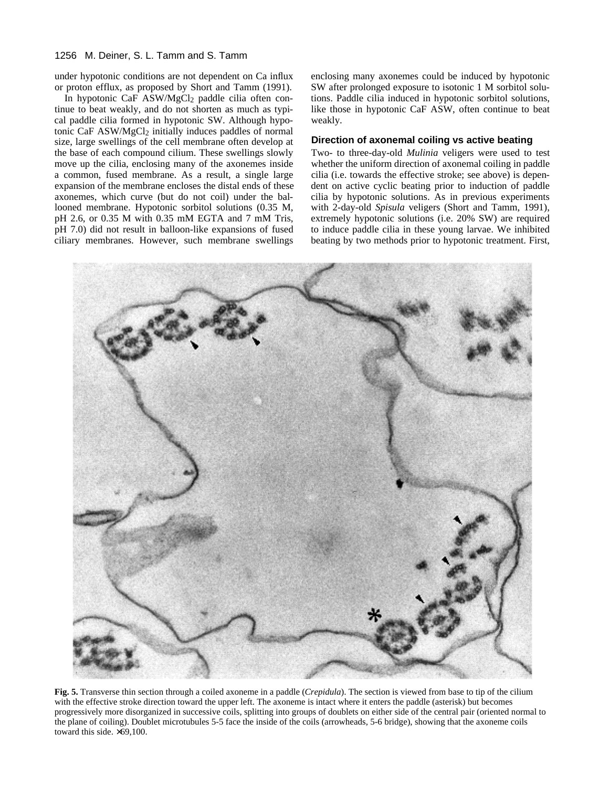#### 1256 M. Deiner, S. L. Tamm and S. Tamm

under hypotonic conditions are not dependent on Ca influx or proton efflux, as proposed by Short and Tamm (1991).

In hypotonic CaF ASW/MgCl2 paddle cilia often continue to beat weakly, and do not shorten as much as typical paddle cilia formed in hypotonic SW. Although hypotonic CaF ASW/MgCl2 initially induces paddles of normal size, large swellings of the cell membrane often develop at the base of each compound cilium. These swellings slowly move up the cilia, enclosing many of the axonemes inside a common, fused membrane. As a result, a single large expansion of the membrane encloses the distal ends of these axonemes, which curve (but do not coil) under the ballooned membrane. Hypotonic sorbitol solutions (0.35 M, pH 2.6, or 0.35 M with 0.35 mM EGTA and 7 mM Tris, pH 7.0) did not result in balloon-like expansions of fused ciliary membranes. However, such membrane swellings enclosing many axonemes could be induced by hypotonic SW after prolonged exposure to isotonic 1 M sorbitol solutions. Paddle cilia induced in hypotonic sorbitol solutions, like those in hypotonic CaF ASW, often continue to beat weakly.

#### **Direction of axonemal coiling vs active beating**

Two- to three-day-old *Mulinia* veligers were used to test whether the uniform direction of axonemal coiling in paddle cilia (i.e. towards the effective stroke; see above) is dependent on active cyclic beating prior to induction of paddle cilia by hypotonic solutions. As in previous experiments with 2-day-old *Spisula* veligers (Short and Tamm, 1991), extremely hypotonic solutions (i.e. 20% SW) are required to induce paddle cilia in these young larvae. We inhibited beating by two methods prior to hypotonic treatment. First,



**Fig. 5.** Transverse thin section through a coiled axoneme in a paddle (*Crepidula*). The section is viewed from base to tip of the cilium with the effective stroke direction toward the upper left. The axoneme is intact where it enters the paddle (asterisk) but becomes progressively more disorganized in successive coils, splitting into groups of doublets on either side of the central pair (oriented normal to the plane of coiling). Doublet microtubules 5-5 face the inside of the coils (arrowheads, 5-6 bridge), showing that the axoneme coils toward this side. ×69,100.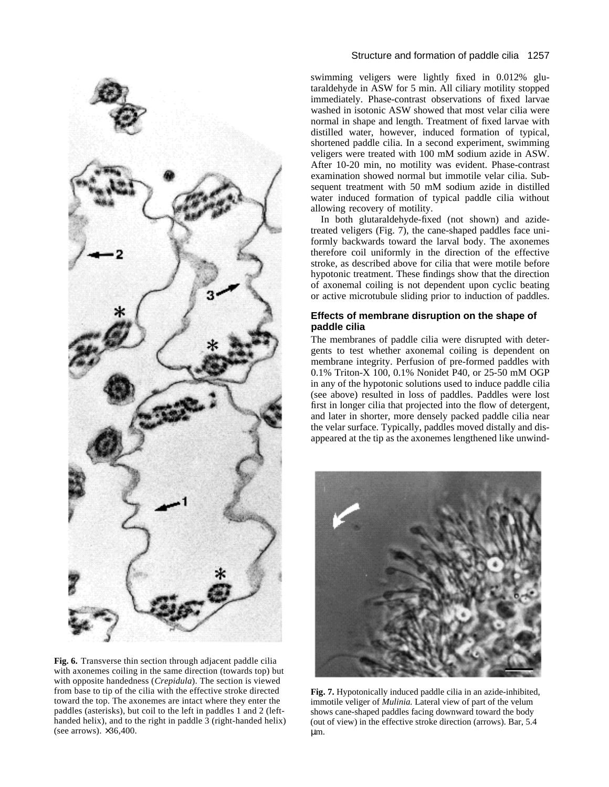

**Fig. 6.** Transverse thin section through adjacent paddle cilia with axonemes coiling in the same direction (towards top) but with opposite handedness (*Crepidula*). The section is viewed from base to tip of the cilia with the effective stroke directed toward the top. The axonemes are intact where they enter the paddles (asterisks), but coil to the left in paddles 1 and 2 (lefthanded helix), and to the right in paddle 3 (right-handed helix) (see arrows).  $\times 36,400$ .

## Structure and formation of paddle cilia 1257

swimming veligers were lightly fixed in 0.012% glutaraldehyde in ASW for 5 min. All ciliary motility stopped immediately. Phase-contrast observations of fixed larvae washed in isotonic ASW showed that most velar cilia were normal in shape and length. Treatment of fixed larvae with distilled water, however, induced formation of typical, shortened paddle cilia. In a second experiment, swimming veligers were treated with 100 mM sodium azide in ASW. After 10-20 min, no motility was evident. Phase-contrast examination showed normal but immotile velar cilia. Subsequent treatment with 50 mM sodium azide in distilled water induced formation of typical paddle cilia without allowing recovery of motility.

In both glutaraldehyde-fixed (not shown) and azidetreated veligers (Fig. 7), the cane-shaped paddles face uniformly backwards toward the larval body. The axonemes therefore coil uniformly in the direction of the effective stroke, as described above for cilia that were motile before hypotonic treatment. These findings show that the direction of axonemal coiling is not dependent upon cyclic beating or active microtubule sliding prior to induction of paddles.

## **Effects of membrane disruption on the shape of paddle cilia**

The membranes of paddle cilia were disrupted with detergents to test whether axonemal coiling is dependent on membrane integrity. Perfusion of pre-formed paddles with 0.1% Triton-X 100, 0.1% Nonidet P40, or 25-50 mM OGP in any of the hypotonic solutions used to induce paddle cilia (see above) resulted in loss of paddles. Paddles were lost first in longer cilia that projected into the flow of detergent, and later in shorter, more densely packed paddle cilia near the velar surface. Typically, paddles moved distally and disappeared at the tip as the axonemes lengthened like unwind-



**Fig. 7.** Hypotonically induced paddle cilia in an azide-inhibited, immotile veliger of *Mulinia.* Lateral view of part of the velum shows cane-shaped paddles facing downward toward the body (out of view) in the effective stroke direction (arrows). Bar, 5.4 μm.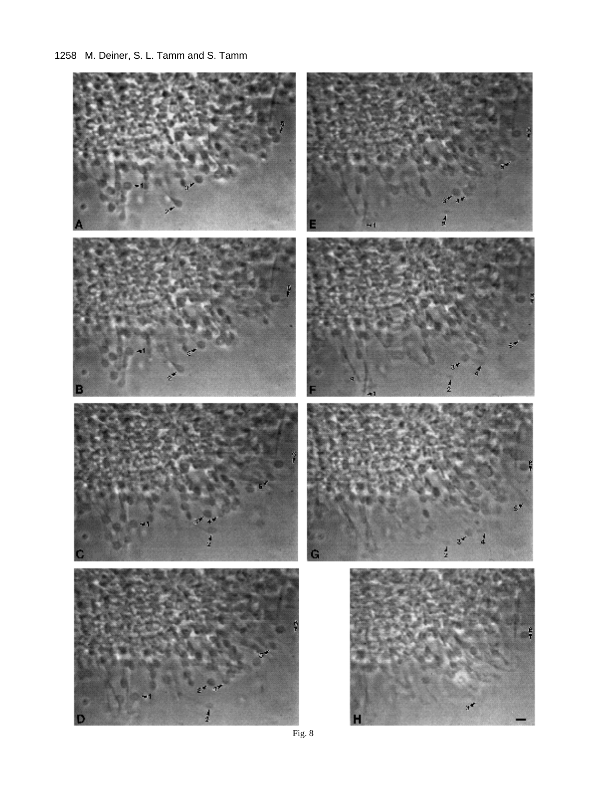## 1258 M. Deiner, S. L. Tamm and S. Tamm



Fig. 8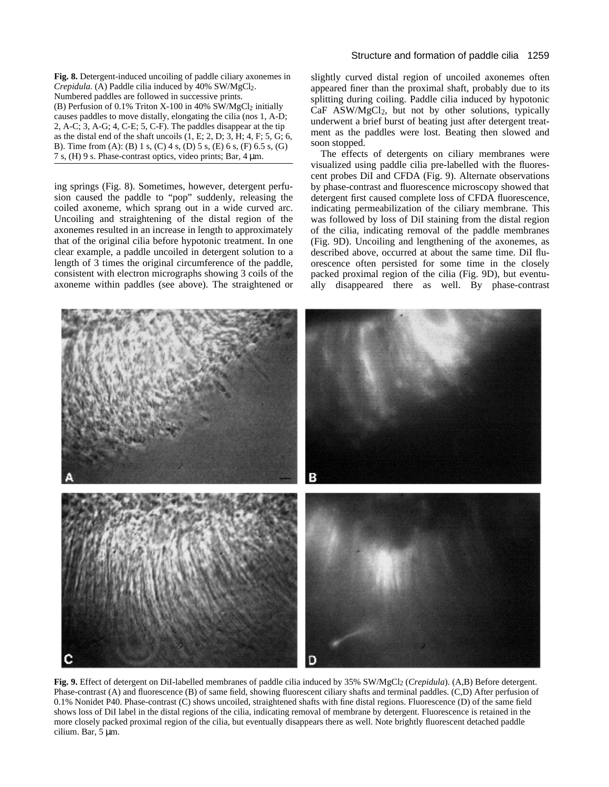**Fig. 8.** Detergent-induced uncoiling of paddle ciliary axonemes in *Crepidula.* (A) Paddle cilia induced by 40% SW/MgCl2. Numbered paddles are followed in successive prints. (B) Perfusion of 0.1% Triton X-100 in 40% SW/MgCl<sub>2</sub> initially causes paddles to move distally, elongating the cilia (nos 1, A-D; 2, A-C; 3, A-G; 4, C-E; 5, C-F). The paddles disappear at the tip as the distal end of the shaft uncoils  $(1, E; 2, D; 3, H; 4, F; 5, G; 6,$ B). Time from (A): (B) 1 s, (C) 4 s, (D) 5 s, (E) 6 s, (F) 6.5 s, (G) 7 s, (H) 9 s. Phase-contrast optics, video prints; Bar, 4 μm.

ing springs (Fig. 8). Sometimes, however, detergent perfusion caused the paddle to "pop" suddenly, releasing the coiled axoneme, which sprang out in a wide curved arc. Uncoiling and straightening of the distal region of the axonemes resulted in an increase in length to approximately that of the original cilia before hypotonic treatment. In one clear example, a paddle uncoiled in detergent solution to a length of 3 times the original circumference of the paddle, consistent with electron micrographs showing 3 coils of the axoneme within paddles (see above). The straightened or slightly curved distal region of uncoiled axonemes often appeared finer than the proximal shaft, probably due to its splitting during coiling. Paddle cilia induced by hypotonic CaF ASW/MgCl2, but not by other solutions, typically underwent a brief burst of beating just after detergent treatment as the paddles were lost. Beating then slowed and soon stopped.

The effects of detergents on ciliary membranes were visualized using paddle cilia pre-labelled with the fluorescent probes DiI and CFDA (Fig. 9). Alternate observations by phase-contrast and fluorescence microscopy showed that detergent first caused complete loss of CFDA fluorescence, indicating permeabilization of the ciliary membrane. This was followed by loss of DiI staining from the distal region of the cilia, indicating removal of the paddle membranes (Fig. 9D). Uncoiling and lengthening of the axonemes, as described above, occurred at about the same time. DiI fluorescence often persisted for some time in the closely packed proximal region of the cilia (Fig. 9D), but eventually disappeared there as well. By phase-contrast



**Fig. 9.** Effect of detergent on DiI-labelled membranes of paddle cilia induced by 35% SW/MgCl2 (*Crepidula*). (A,B) Before detergent. Phase-contrast (A) and fluorescence (B) of same field, showing fluorescent ciliary shafts and terminal paddles. (C,D) After perfusion of 0.1% Nonidet P40. Phase-contrast (C) shows uncoiled, straightened shafts with fine distal regions. Fluorescence (D) of the same field shows loss of DiI label in the distal regions of the cilia, indicating removal of membrane by detergent. Fluorescence is retained in the more closely packed proximal region of the cilia, but eventually disappears there as well. Note brightly fluorescent detached paddle cilium. Bar, 5 μm.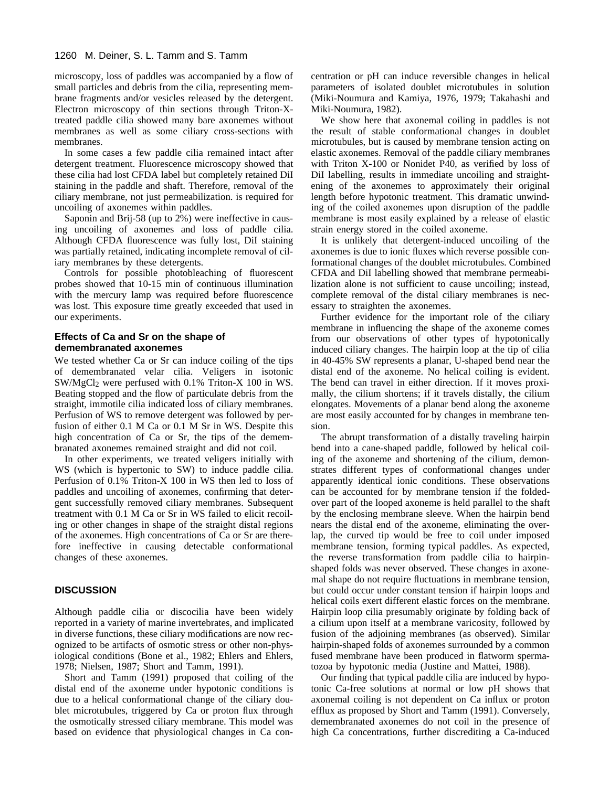#### 1260 M. Deiner, S. L. Tamm and S. Tamm

microscopy, loss of paddles was accompanied by a flow of small particles and debris from the cilia, representing membrane fragments and/or vesicles released by the detergent. Electron microscopy of thin sections through Triton-Xtreated paddle cilia showed many bare axonemes without membranes as well as some ciliary cross-sections with membranes.

In some cases a few paddle cilia remained intact after detergent treatment. Fluorescence microscopy showed that these cilia had lost CFDA label but completely retained DiI staining in the paddle and shaft. Therefore, removal of the ciliary membrane, not just permeabilization. is required for uncoiling of axonemes within paddles.

Saponin and Brij-58 (up to 2%) were ineffective in causing uncoiling of axonemes and loss of paddle cilia. Although CFDA fluorescence was fully lost, DiI staining was partially retained, indicating incomplete removal of ciliary membranes by these detergents.

Controls for possible photobleaching of fluorescent probes showed that 10-15 min of continuous illumination with the mercury lamp was required before fluorescence was lost. This exposure time greatly exceeded that used in our experiments.

#### **Effects of Ca and Sr on the shape of demembranated axonemes**

We tested whether Ca or Sr can induce coiling of the tips of demembranated velar cilia. Veligers in isotonic  $SW/MgCl<sub>2</sub>$  were perfused with 0.1% Triton-X 100 in WS. Beating stopped and the flow of particulate debris from the straight, immotile cilia indicated loss of ciliary membranes. Perfusion of WS to remove detergent was followed by perfusion of either 0.1 M Ca or 0.1 M Sr in WS. Despite this high concentration of Ca or Sr, the tips of the demembranated axonemes remained straight and did not coil.

In other experiments, we treated veligers initially with WS (which is hypertonic to SW) to induce paddle cilia. Perfusion of 0.1% Triton-X 100 in WS then led to loss of paddles and uncoiling of axonemes, confirming that detergent successfully removed ciliary membranes. Subsequent treatment with 0.1 M Ca or Sr in WS failed to elicit recoiling or other changes in shape of the straight distal regions of the axonemes. High concentrations of Ca or Sr are therefore ineffective in causing detectable conformational changes of these axonemes.

#### **DISCUSSION**

Although paddle cilia or discocilia have been widely reported in a variety of marine invertebrates, and implicated in diverse functions, these ciliary modifications are now recognized to be artifacts of osmotic stress or other non-physiological conditions (Bone et al., 1982; Ehlers and Ehlers, 1978; Nielsen, 1987; Short and Tamm, 1991).

Short and Tamm (1991) proposed that coiling of the distal end of the axoneme under hypotonic conditions is due to a helical conformational change of the ciliary doublet microtubules, triggered by Ca or proton flux through the osmotically stressed ciliary membrane. This model was based on evidence that physiological changes in Ca concentration or pH can induce reversible changes in helical parameters of isolated doublet microtubules in solution (Miki-Noumura and Kamiya, 1976, 1979; Takahashi and Miki-Noumura, 1982).

We show here that axonemal coiling in paddles is not the result of stable conformational changes in doublet microtubules, but is caused by membrane tension acting on elastic axonemes. Removal of the paddle ciliary membranes with Triton X-100 or Nonidet P40, as verified by loss of DiI labelling, results in immediate uncoiling and straightening of the axonemes to approximately their original length before hypotonic treatment. This dramatic unwinding of the coiled axonemes upon disruption of the paddle membrane is most easily explained by a release of elastic strain energy stored in the coiled axoneme.

It is unlikely that detergent-induced uncoiling of the axonemes is due to ionic fluxes which reverse possible conformational changes of the doublet microtubules. Combined CFDA and DiI labelling showed that membrane permeabilization alone is not sufficient to cause uncoiling; instead, complete removal of the distal ciliary membranes is necessary to straighten the axonemes.

Further evidence for the important role of the ciliary membrane in influencing the shape of the axoneme comes from our observations of other types of hypotonically induced ciliary changes. The hairpin loop at the tip of cilia in 40-45% SW represents a planar, U-shaped bend near the distal end of the axoneme. No helical coiling is evident. The bend can travel in either direction. If it moves proximally, the cilium shortens; if it travels distally, the cilium elongates. Movements of a planar bend along the axoneme are most easily accounted for by changes in membrane tension.

The abrupt transformation of a distally traveling hairpin bend into a cane-shaped paddle, followed by helical coiling of the axoneme and shortening of the cilium, demonstrates different types of conformational changes under apparently identical ionic conditions. These observations can be accounted for by membrane tension if the foldedover part of the looped axoneme is held parallel to the shaft by the enclosing membrane sleeve. When the hairpin bend nears the distal end of the axoneme, eliminating the overlap, the curved tip would be free to coil under imposed membrane tension, forming typical paddles. As expected, the reverse transformation from paddle cilia to hairpinshaped folds was never observed. These changes in axonemal shape do not require fluctuations in membrane tension, but could occur under constant tension if hairpin loops and helical coils exert different elastic forces on the membrane. Hairpin loop cilia presumably originate by folding back of a cilium upon itself at a membrane varicosity, followed by fusion of the adjoining membranes (as observed). Similar hairpin-shaped folds of axonemes surrounded by a common fused membrane have been produced in flatworm spermatozoa by hypotonic media (Justine and Mattei, 1988).

Our finding that typical paddle cilia are induced by hypotonic Ca-free solutions at normal or low pH shows that axonemal coiling is not dependent on Ca influx or proton efflux as proposed by Short and Tamm (1991). Conversely, demembranated axonemes do not coil in the presence of high Ca concentrations, further discrediting a Ca-induced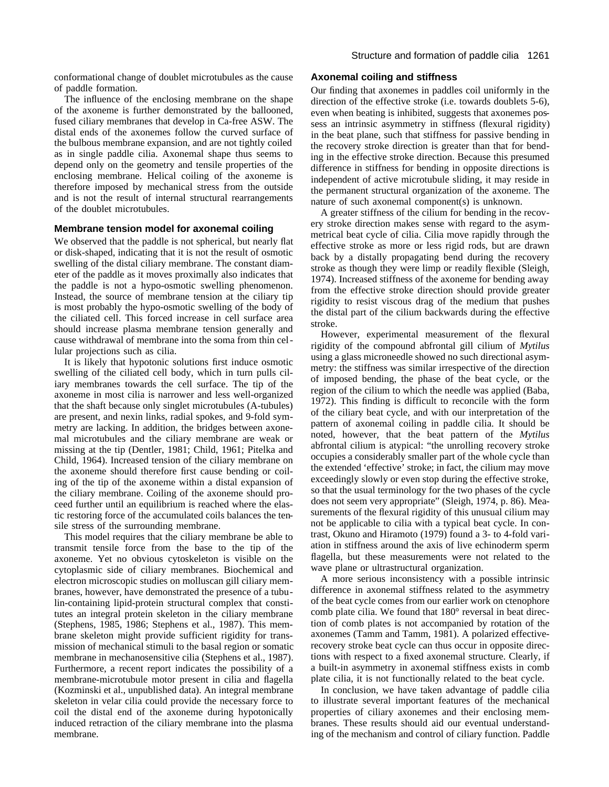conformational change of doublet microtubules as the cause of paddle formation.

The influence of the enclosing membrane on the shape of the axoneme is further demonstrated by the ballooned, fused ciliary membranes that develop in Ca-free ASW. The distal ends of the axonemes follow the curved surface of the bulbous membrane expansion, and are not tightly coiled as in single paddle cilia. Axonemal shape thus seems to depend only on the geometry and tensile properties of the enclosing membrane. Helical coiling of the axoneme is therefore imposed by mechanical stress from the outside and is not the result of internal structural rearrangements of the doublet microtubules.

## **Membrane tension model for axonemal coiling**

We observed that the paddle is not spherical, but nearly flat or disk-shaped, indicating that it is not the result of osmotic swelling of the distal ciliary membrane. The constant diameter of the paddle as it moves proximally also indicates that the paddle is not a hypo-osmotic swelling phenomenon. Instead, the source of membrane tension at the ciliary tip is most probably the hypo-osmotic swelling of the body of the ciliated cell. This forced increase in cell surface area should increase plasma membrane tension generally and cause withdrawal of membrane into the soma from thin cellular projections such as cilia.

It is likely that hypotonic solutions first induce osmotic swelling of the ciliated cell body, which in turn pulls ciliary membranes towards the cell surface. The tip of the axoneme in most cilia is narrower and less well-organized that the shaft because only singlet microtubules (A-tubules) are present, and nexin links, radial spokes, and 9-fold symmetry are lacking. In addition, the bridges between axonemal microtubules and the ciliary membrane are weak or missing at the tip (Dentler, 1981; Child, 1961; Pitelka and Child, 1964). Increased tension of the ciliary membrane on the axoneme should therefore first cause bending or coiling of the tip of the axoneme within a distal expansion of the ciliary membrane. Coiling of the axoneme should proceed further until an equilibrium is reached where the elastic restoring force of the accumulated coils balances the tensile stress of the surrounding membrane.

This model requires that the ciliary membrane be able to transmit tensile force from the base to the tip of the axoneme. Yet no obvious cytoskeleton is visible on the cytoplasmic side of ciliary membranes. Biochemical and electron microscopic studies on molluscan gill ciliary membranes, however, have demonstrated the presence of a tubulin-containing lipid-protein structural complex that constitutes an integral protein skeleton in the ciliary membrane (Stephens, 1985, 1986; Stephens et al., 1987). This membrane skeleton might provide sufficient rigidity for transmission of mechanical stimuli to the basal region or somatic membrane in mechanosensitive cilia (Stephens et al., 1987). Furthermore, a recent report indicates the possibility of a membrane-microtubule motor present in cilia and flagella (Kozminski et al., unpublished data). An integral membrane skeleton in velar cilia could provide the necessary force to coil the distal end of the axoneme during hypotonically induced retraction of the ciliary membrane into the plasma membrane.

## **Axonemal coiling and stiffness**

Our finding that axonemes in paddles coil uniformly in the direction of the effective stroke (i.e. towards doublets 5-6), even when beating is inhibited, suggests that axonemes possess an intrinsic asymmetry in stiffness (flexural rigidity) in the beat plane, such that stiffness for passive bending in the recovery stroke direction is greater than that for bending in the effective stroke direction. Because this presumed difference in stiffness for bending in opposite directions is independent of active microtubule sliding, it may reside in the permanent structural organization of the axoneme. The nature of such axonemal component(s) is unknown.

A greater stiffness of the cilium for bending in the recovery stroke direction makes sense with regard to the asymmetrical beat cycle of cilia. Cilia move rapidly through the effective stroke as more or less rigid rods, but are drawn back by a distally propagating bend during the recovery stroke as though they were limp or readily flexible (Sleigh, 1974). Increased stiffness of the axoneme for bending away from the effective stroke direction should provide greater rigidity to resist viscous drag of the medium that pushes the distal part of the cilium backwards during the effective stroke.

However, experimental measurement of the flexural rigidity of the compound abfrontal gill cilium of *Mytilus* using a glass microneedle showed no such directional asymmetry: the stiffness was similar irrespective of the direction of imposed bending, the phase of the beat cycle, or the region of the cilium to which the needle was applied (Baba, 1972). This finding is difficult to reconcile with the form of the ciliary beat cycle, and with our interpretation of the pattern of axonemal coiling in paddle cilia. It should be noted, however, that the beat pattern of the *Mytilus* abfrontal cilium is atypical: "the unrolling recovery stroke occupies a considerably smaller part of the whole cycle than the extended 'effective' stroke; in fact, the cilium may move exceedingly slowly or even stop during the effective stroke, so that the usual terminology for the two phases of the cycle does not seem very appropriate" (Sleigh, 1974, p. 86). Measurements of the flexural rigidity of this unusual cilium may not be applicable to cilia with a typical beat cycle. In contrast, Okuno and Hiramoto (1979) found a 3- to 4-fold variation in stiffness around the axis of live echinoderm sperm flagella, but these measurements were not related to the wave plane or ultrastructural organization.

A more serious inconsistency with a possible intrinsic difference in axonemal stiffness related to the asymmetry of the beat cycle comes from our earlier work on ctenophore comb plate cilia. We found that 180° reversal in beat direction of comb plates is not accompanied by rotation of the axonemes (Tamm and Tamm, 1981). A polarized effectiverecovery stroke beat cycle can thus occur in opposite directions with respect to a fixed axonemal structure. Clearly, if a built-in asymmetry in axonemal stiffness exists in comb plate cilia, it is not functionally related to the beat cycle.

In conclusion, we have taken advantage of paddle cilia to illustrate several important features of the mechanical properties of ciliary axonemes and their enclosing membranes. These results should aid our eventual understanding of the mechanism and control of ciliary function. Paddle